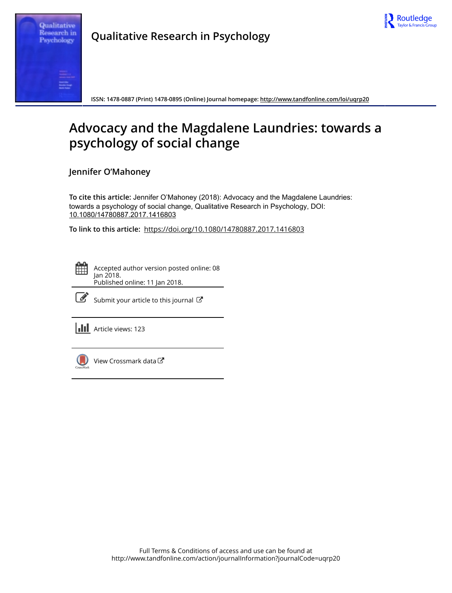

Qualitative Research in Psychology

ISSN: 1478-0887 (Print) 1478-0895 (Online) Journal homepage:<http://www.tandfonline.com/loi/uqrp20>

# Advocacy and the Magdalene Laundries: towards a psychology of social change

Jennifer O'Mahoney

To cite this article: Jennifer O'Mahoney (2018): Advocacy and the Magdalene Laundries: towards a psychology of social change, Qualitative Research in Psychology, DOI: [10.1080/14780887.2017.1416803](http://www.tandfonline.com/action/showCitFormats?doi=10.1080/14780887.2017.1416803)

To link to this article: <https://doi.org/10.1080/14780887.2017.1416803>

Accepted author version posted online: 08 Jan 2018. Published online: 11 Jan 2018.



 $\overrightarrow{S}$  [Submit your article to this journal](http://www.tandfonline.com/action/authorSubmission?journalCode=uqrp20&show=instructions)  $\overrightarrow{S}$ 

**III** Article views: 123



[View Crossmark data](http://crossmark.crossref.org/dialog/?doi=10.1080/14780887.2017.1416803&domain=pdf&date_stamp=2018-01-08) $\bm{\mathcal{C}}$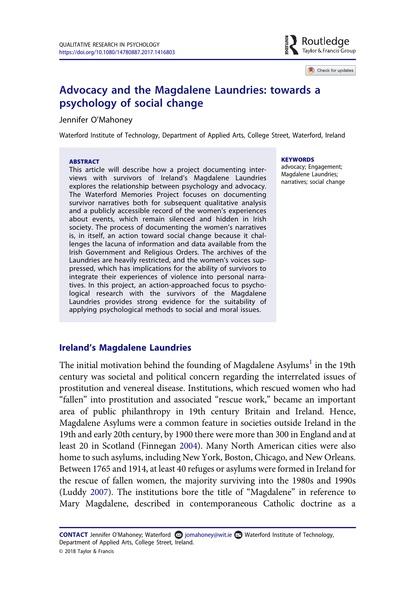

Check for updates

## Advocacy and the Magdalene Laundries: towards a psychology of social change

#### Jennifer O'Mahoney

Waterford Institute of Technology, Department of Applied Arts, College Street, Waterford, Ireland

#### ABSTRACT

This article will describe how a project documenting interviews with survivors of Ireland's Magdalene Laundries explores the relationship between psychology and advocacy. The Waterford Memories Project focuses on documenting survivor narratives both for subsequent qualitative analysis and a publicly accessible record of the women's experiences about events, which remain silenced and hidden in Irish society. The process of documenting the women's narratives is, in itself, an action toward social change because it challenges the lacuna of information and data available from the Irish Government and Religious Orders. The archives of the Laundries are heavily restricted, and the women's voices suppressed, which has implications for the ability of survivors to integrate their experiences of violence into personal narratives. In this project, an action-approached focus to psychological research with the survivors of the Magdalene Laundries provides strong evidence for the suitability of applying psychological methods to social and moral issues.

#### **KEYWORDS**

advocacy; Engagement; Magdalene Laundries; narratives; social change

#### Ireland's Magdalene Laundries

The initial motivation behind the founding of Magdalene Asylums<sup>1</sup> in the 19th century was societal and political concern regarding the interrelated issues of prostitution and venereal disease. Institutions, which rescued women who had "fallen" into prostitution and associated "rescue work," became an important area of public philanthropy in 19th century Britain and Ireland. Hence, Magdalene Asylums were a common feature in societies outside Ireland in the 19th and early 20th century, by 1900 there were more than 300 in England and at least 20 in Scotland (Finnegan [2004\)](#page-15-0). Many North American cities were also home to such asylums, including New York, Boston, Chicago, and New Orleans. Between 1765 and 1914, at least 40 refuges or asylums were formed in Ireland for the rescue of fallen women, the majority surviving into the 1980s and 1990s (Luddy [2007](#page-15-1)). The institutions bore the title of "Magdalene" in reference to Mary Magdalene, described in contemporaneous Catholic doctrine as a

CONTACT Jennifer O'Mahoney; Waterford **is a proport of the Development O'Mahoney**, Department of Applied Arts, College Street, Ireland.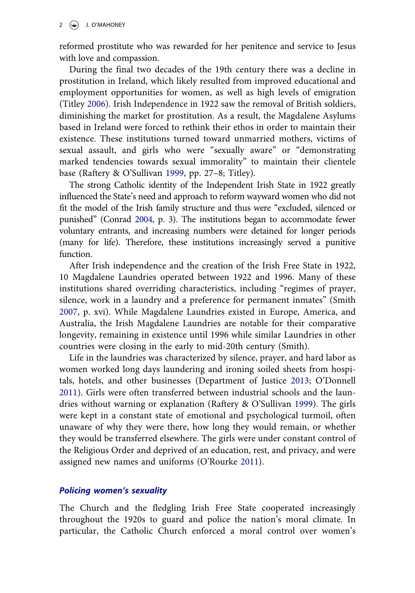$2 \quad \circledast$  J. O'MAHONEY

reformed prostitute who was rewarded for her penitence and service to Jesus with love and compassion.

During the final two decades of the 19th century there was a decline in prostitution in Ireland, which likely resulted from improved educational and employment opportunities for women, as well as high levels of emigration (Titley [2006\)](#page-16-0). Irish Independence in 1922 saw the removal of British soldiers, diminishing the market for prostitution. As a result, the Magdalene Asylums based in Ireland were forced to rethink their ethos in order to maintain their existence. These institutions turned toward unmarried mothers, victims of sexual assault, and girls who were "sexually aware" or "demonstrating marked tendencies towards sexual immorality" to maintain their clientele base (Raftery & O'Sullivan [1999](#page-16-1), pp. 27–8; Titley).

The strong Catholic identity of the Independent Irish State in 1922 greatly influenced the State's need and approach to reform wayward women who did not fit the model of the Irish family structure and thus were "excluded, silenced or punished" (Conrad [2004,](#page-15-2) p. 3). The institutions began to accommodate fewer voluntary entrants, and increasing numbers were detained for longer periods (many for life). Therefore, these institutions increasingly served a punitive function.

After Irish independence and the creation of the Irish Free State in 1922, 10 Magdalene Laundries operated between 1922 and 1996. Many of these institutions shared overriding characteristics, including "regimes of prayer, silence, work in a laundry and a preference for permanent inmates" (Smith [2007](#page-16-2), p. xvi). While Magdalene Laundries existed in Europe, America, and Australia, the Irish Magdalene Laundries are notable for their comparative longevity, remaining in existence until 1996 while similar Laundries in other countries were closing in the early to mid-20th century (Smith).

Life in the laundries was characterized by silence, prayer, and hard labor as women worked long days laundering and ironing soiled sheets from hospitals, hotels, and other businesses (Department of Justice [2013](#page-15-3); O'Donnell [2011](#page-15-4)). Girls were often transferred between industrial schools and the laundries without warning or explanation (Raftery & O'Sullivan [1999\)](#page-16-1). The girls were kept in a constant state of emotional and psychological turmoil, often unaware of why they were there, how long they would remain, or whether they would be transferred elsewhere. The girls were under constant control of the Religious Order and deprived of an education, rest, and privacy, and were assigned new names and uniforms (O'Rourke [2011](#page-15-5)).

#### Policing women's sexuality

The Church and the fledgling Irish Free State cooperated increasingly throughout the 1920s to guard and police the nation's moral climate. In particular, the Catholic Church enforced a moral control over women's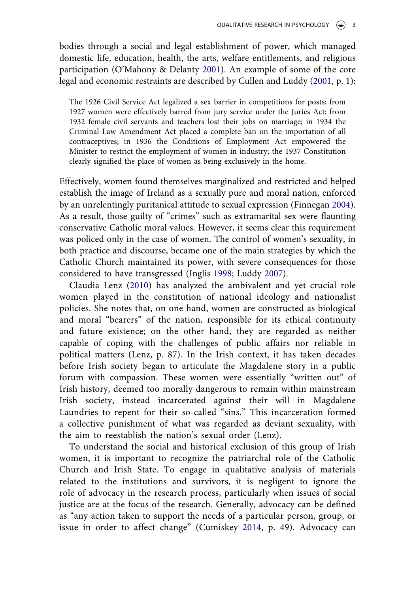bodies through a social and legal establishment of power, which managed domestic life, education, health, the arts, welfare entitlements, and religious participation (O'Mahony & Delanty [2001\)](#page-15-6). An example of some of the core legal and economic restraints are described by Cullen and Luddy ([2001,](#page-15-7) p. 1):

The 1926 Civil Service Act legalized a sex barrier in competitions for posts; from 1927 women were effectively barred from jury service under the Juries Act; from 1932 female civil servants and teachers lost their jobs on marriage; in 1934 the Criminal Law Amendment Act placed a complete ban on the importation of all contraceptives; in 1936 the Conditions of Employment Act empowered the Minister to restrict the employment of women in industry; the 1937 Constitution clearly signified the place of women as being exclusively in the home.

Effectively, women found themselves marginalized and restricted and helped establish the image of Ireland as a sexually pure and moral nation, enforced by an unrelentingly puritanical attitude to sexual expression (Finnegan [2004](#page-15-0)). As a result, those guilty of "crimes" such as extramarital sex were flaunting conservative Catholic moral values. However, it seems clear this requirement was policed only in the case of women. The control of women's sexuality, in both practice and discourse, became one of the main strategies by which the Catholic Church maintained its power, with severe consequences for those considered to have transgressed (Inglis [1998](#page-15-8); Luddy [2007](#page-15-1)).

Claudia Lenz ([2010](#page-15-9)) has analyzed the ambivalent and yet crucial role women played in the constitution of national ideology and nationalist policies. She notes that, on one hand, women are constructed as biological and moral "bearers" of the nation, responsible for its ethical continuity and future existence; on the other hand, they are regarded as neither capable of coping with the challenges of public affairs nor reliable in political matters (Lenz, p. 87). In the Irish context, it has taken decades before Irish society began to articulate the Magdalene story in a public forum with compassion. These women were essentially "written out" of Irish history, deemed too morally dangerous to remain within mainstream Irish society, instead incarcerated against their will in Magdalene Laundries to repent for their so-called "sins." This incarceration formed a collective punishment of what was regarded as deviant sexuality, with the aim to reestablish the nation's sexual order (Lenz).

To understand the social and historical exclusion of this group of Irish women, it is important to recognize the patriarchal role of the Catholic Church and Irish State. To engage in qualitative analysis of materials related to the institutions and survivors, it is negligent to ignore the role of advocacy in the research process, particularly when issues of social justice are at the focus of the research. Generally, advocacy can be defined as "any action taken to support the needs of a particular person, group, or issue in order to affect change" (Cumiskey [2014](#page-15-10), p. 49). Advocacy can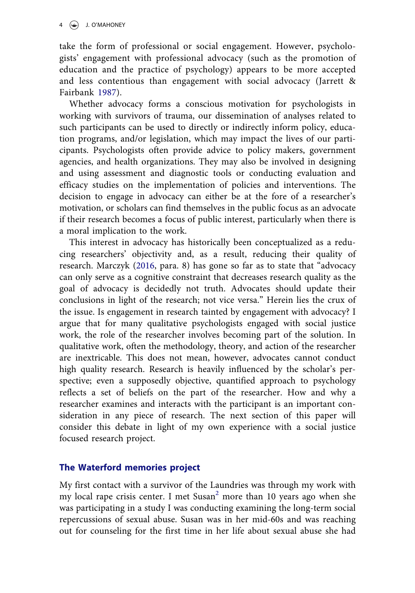take the form of professional or social engagement. However, psychologists' engagement with professional advocacy (such as the promotion of education and the practice of psychology) appears to be more accepted and less contentious than engagement with social advocacy (Jarrett & Fairbank [1987](#page-15-11)).

Whether advocacy forms a conscious motivation for psychologists in working with survivors of trauma, our dissemination of analyses related to such participants can be used to directly or indirectly inform policy, education programs, and/or legislation, which may impact the lives of our participants. Psychologists often provide advice to policy makers, government agencies, and health organizations. They may also be involved in designing and using assessment and diagnostic tools or conducting evaluation and efficacy studies on the implementation of policies and interventions. The decision to engage in advocacy can either be at the fore of a researcher's motivation, or scholars can find themselves in the public focus as an advocate if their research becomes a focus of public interest, particularly when there is a moral implication to the work.

This interest in advocacy has historically been conceptualized as a reducing researchers' objectivity and, as a result, reducing their quality of research. Marczyk [\(2016](#page-15-12), para. 8) has gone so far as to state that "advocacy can only serve as a cognitive constraint that decreases research quality as the goal of advocacy is decidedly not truth. Advocates should update their conclusions in light of the research; not vice versa." Herein lies the crux of the issue. Is engagement in research tainted by engagement with advocacy? I argue that for many qualitative psychologists engaged with social justice work, the role of the researcher involves becoming part of the solution. In qualitative work, often the methodology, theory, and action of the researcher are inextricable. This does not mean, however, advocates cannot conduct high quality research. Research is heavily influenced by the scholar's perspective; even a supposedly objective, quantified approach to psychology reflects a set of beliefs on the part of the researcher. How and why a researcher examines and interacts with the participant is an important consideration in any piece of research. The next section of this paper will consider this debate in light of my own experience with a social justice focused research project.

## The Waterford memories project

My first contact with a survivor of the Laundries was through my work with my local rape crisis center. I met  $Susan<sup>2</sup>$  $Susan<sup>2</sup>$  $Susan<sup>2</sup>$  more than 10 years ago when she was participating in a study I was conducting examining the long-term social repercussions of sexual abuse. Susan was in her mid-60s and was reaching out for counseling for the first time in her life about sexual abuse she had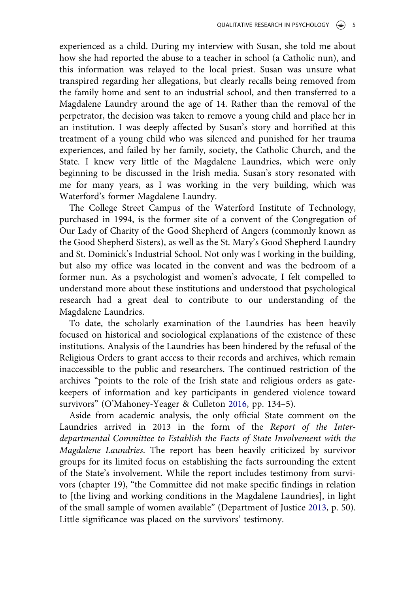experienced as a child. During my interview with Susan, she told me about how she had reported the abuse to a teacher in school (a Catholic nun), and this information was relayed to the local priest. Susan was unsure what transpired regarding her allegations, but clearly recalls being removed from the family home and sent to an industrial school, and then transferred to a Magdalene Laundry around the age of 14. Rather than the removal of the perpetrator, the decision was taken to remove a young child and place her in an institution. I was deeply affected by Susan's story and horrified at this treatment of a young child who was silenced and punished for her trauma experiences, and failed by her family, society, the Catholic Church, and the State. I knew very little of the Magdalene Laundries, which were only beginning to be discussed in the Irish media. Susan's story resonated with me for many years, as I was working in the very building, which was Waterford's former Magdalene Laundry.

The College Street Campus of the Waterford Institute of Technology, purchased in 1994, is the former site of a convent of the Congregation of Our Lady of Charity of the Good Shepherd of Angers (commonly known as the Good Shepherd Sisters), as well as the St. Mary's Good Shepherd Laundry and St. Dominick's Industrial School. Not only was I working in the building, but also my office was located in the convent and was the bedroom of a former nun. As a psychologist and women's advocate, I felt compelled to understand more about these institutions and understood that psychological research had a great deal to contribute to our understanding of the Magdalene Laundries.

To date, the scholarly examination of the Laundries has been heavily focused on historical and sociological explanations of the existence of these institutions. Analysis of the Laundries has been hindered by the refusal of the Religious Orders to grant access to their records and archives, which remain inaccessible to the public and researchers. The continued restriction of the archives "points to the role of the Irish state and religious orders as gatekeepers of information and key participants in gendered violence toward survivors" (O'Mahoney-Yeager & Culleton [2016,](#page-15-13) pp. 134–5).

Aside from academic analysis, the only official State comment on the Laundries arrived in 2013 in the form of the Report of the Interdepartmental Committee to Establish the Facts of State Involvement with the Magdalene Laundries. The report has been heavily criticized by survivor groups for its limited focus on establishing the facts surrounding the extent of the State's involvement. While the report includes testimony from survivors (chapter 19), "the Committee did not make specific findings in relation to [the living and working conditions in the Magdalene Laundries], in light of the small sample of women available" (Department of Justice [2013](#page-15-3), p. 50). Little significance was placed on the survivors' testimony.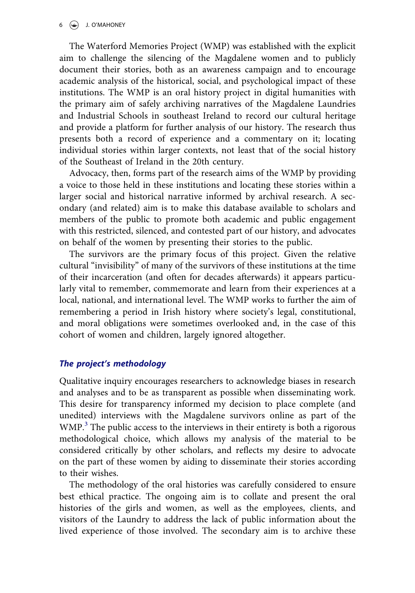#### $6 \quad \circledast$  J. O'MAHONEY

The Waterford Memories Project (WMP) was established with the explicit aim to challenge the silencing of the Magdalene women and to publicly document their stories, both as an awareness campaign and to encourage academic analysis of the historical, social, and psychological impact of these institutions. The WMP is an oral history project in digital humanities with the primary aim of safely archiving narratives of the Magdalene Laundries and Industrial Schools in southeast Ireland to record our cultural heritage and provide a platform for further analysis of our history. The research thus presents both a record of experience and a commentary on it; locating individual stories within larger contexts, not least that of the social history of the Southeast of Ireland in the 20th century.

Advocacy, then, forms part of the research aims of the WMP by providing a voice to those held in these institutions and locating these stories within a larger social and historical narrative informed by archival research. A secondary (and related) aim is to make this database available to scholars and members of the public to promote both academic and public engagement with this restricted, silenced, and contested part of our history, and advocates on behalf of the women by presenting their stories to the public.

The survivors are the primary focus of this project. Given the relative cultural "invisibility" of many of the survivors of these institutions at the time of their incarceration (and often for decades afterwards) it appears particularly vital to remember, commemorate and learn from their experiences at a local, national, and international level. The WMP works to further the aim of remembering a period in Irish history where society's legal, constitutional, and moral obligations were sometimes overlooked and, in the case of this cohort of women and children, largely ignored altogether.

#### The project's methodology

Qualitative inquiry encourages researchers to acknowledge biases in research and analyses and to be as transparent as possible when disseminating work. This desire for transparency informed my decision to place complete (and unedited) interviews with the Magdalene survivors online as part of the  $WMP<sup>3</sup>$  $WMP<sup>3</sup>$  $WMP<sup>3</sup>$ . The public access to the interviews in their entirety is both a rigorous methodological choice, which allows my analysis of the material to be considered critically by other scholars, and reflects my desire to advocate on the part of these women by aiding to disseminate their stories according to their wishes.

The methodology of the oral histories was carefully considered to ensure best ethical practice. The ongoing aim is to collate and present the oral histories of the girls and women, as well as the employees, clients, and visitors of the Laundry to address the lack of public information about the lived experience of those involved. The secondary aim is to archive these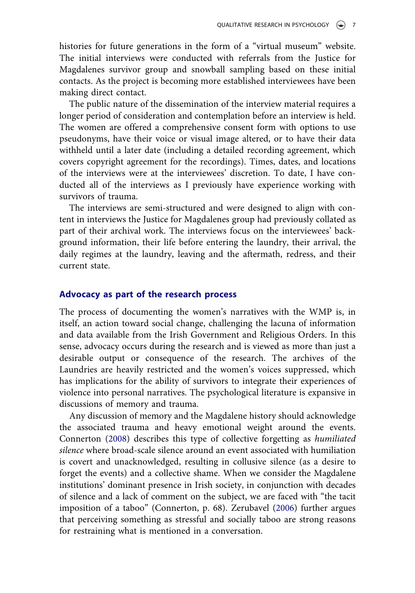histories for future generations in the form of a "virtual museum" website. The initial interviews were conducted with referrals from the Justice for Magdalenes survivor group and snowball sampling based on these initial contacts. As the project is becoming more established interviewees have been making direct contact.

The public nature of the dissemination of the interview material requires a longer period of consideration and contemplation before an interview is held. The women are offered a comprehensive consent form with options to use pseudonyms, have their voice or visual image altered, or to have their data withheld until a later date (including a detailed recording agreement, which covers copyright agreement for the recordings). Times, dates, and locations of the interviews were at the interviewees' discretion. To date, I have conducted all of the interviews as I previously have experience working with survivors of trauma.

The interviews are semi-structured and were designed to align with content in interviews the Justice for Magdalenes group had previously collated as part of their archival work. The interviews focus on the interviewees' background information, their life before entering the laundry, their arrival, the daily regimes at the laundry, leaving and the aftermath, redress, and their current state.

#### Advocacy as part of the research process

The process of documenting the women's narratives with the WMP is, in itself, an action toward social change, challenging the lacuna of information and data available from the Irish Government and Religious Orders. In this sense, advocacy occurs during the research and is viewed as more than just a desirable output or consequence of the research. The archives of the Laundries are heavily restricted and the women's voices suppressed, which has implications for the ability of survivors to integrate their experiences of violence into personal narratives. The psychological literature is expansive in discussions of memory and trauma.

Any discussion of memory and the Magdalene history should acknowledge the associated trauma and heavy emotional weight around the events. Connerton ([2008\)](#page-15-14) describes this type of collective forgetting as humiliated silence where broad-scale silence around an event associated with humiliation is covert and unacknowledged, resulting in collusive silence (as a desire to forget the events) and a collective shame. When we consider the Magdalene institutions' dominant presence in Irish society, in conjunction with decades of silence and a lack of comment on the subject, we are faced with "the tacit imposition of a taboo" (Connerton, p. 68). Zerubavel [\(2006](#page-16-3)) further argues that perceiving something as stressful and socially taboo are strong reasons for restraining what is mentioned in a conversation.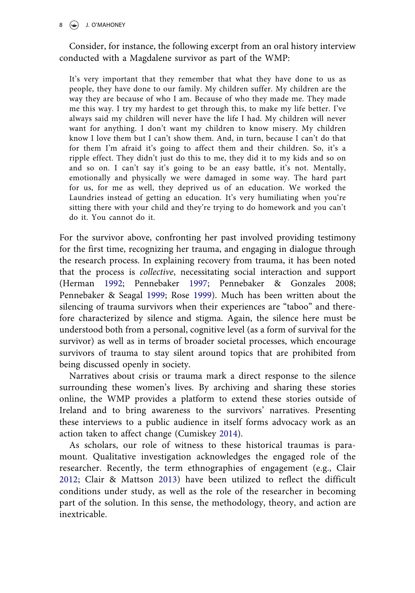#### $8 \quad \circledast$  J. O'MAHONEY

Consider, for instance, the following excerpt from an oral history interview conducted with a Magdalene survivor as part of the WMP:

It's very important that they remember that what they have done to us as people, they have done to our family. My children suffer. My children are the way they are because of who I am. Because of who they made me. They made me this way. I try my hardest to get through this, to make my life better. I've always said my children will never have the life I had. My children will never want for anything. I don't want my children to know misery. My children know I love them but I can't show them. And, in turn, because I can't do that for them I'm afraid it's going to affect them and their children. So, it's a ripple effect. They didn't just do this to me, they did it to my kids and so on and so on. I can't say it's going to be an easy battle, it's not. Mentally, emotionally and physically we were damaged in some way. The hard part for us, for me as well, they deprived us of an education. We worked the Laundries instead of getting an education. It's very humiliating when you're sitting there with your child and they're trying to do homework and you can't do it. You cannot do it.

For the survivor above, confronting her past involved providing testimony for the first time, recognizing her trauma, and engaging in dialogue through the research process. In explaining recovery from trauma, it has been noted that the process is collective, necessitating social interaction and support (Herman [1992;](#page-15-15) Pennebaker [1997;](#page-15-16) Pennebaker & Gonzales 2008; Pennebaker & Seagal [1999](#page-15-17); Rose [1999\)](#page-16-4). Much has been written about the silencing of trauma survivors when their experiences are "taboo" and therefore characterized by silence and stigma. Again, the silence here must be understood both from a personal, cognitive level (as a form of survival for the survivor) as well as in terms of broader societal processes, which encourage survivors of trauma to stay silent around topics that are prohibited from being discussed openly in society.

Narratives about crisis or trauma mark a direct response to the silence surrounding these women's lives. By archiving and sharing these stories online, the WMP provides a platform to extend these stories outside of Ireland and to bring awareness to the survivors' narratives. Presenting these interviews to a public audience in itself forms advocacy work as an action taken to affect change (Cumiskey [2014](#page-15-10)).

As scholars, our role of witness to these historical traumas is paramount. Qualitative investigation acknowledges the engaged role of the researcher. Recently, the term ethnographies of engagement (e.g., Clair [2012;](#page-15-18) Clair & Mattson [2013](#page-15-19)) have been utilized to reflect the difficult conditions under study, as well as the role of the researcher in becoming part of the solution. In this sense, the methodology, theory, and action are inextricable.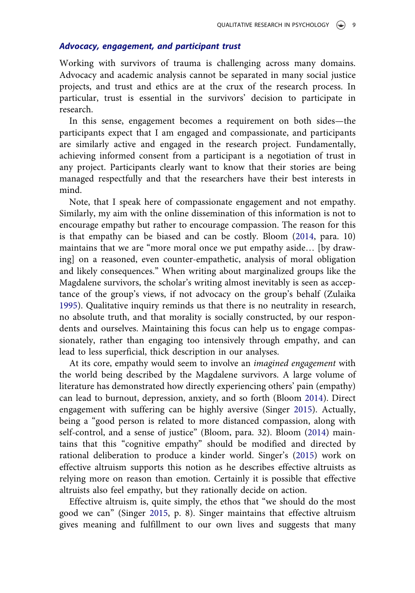#### Advocacy, engagement, and participant trust

Working with survivors of trauma is challenging across many domains. Advocacy and academic analysis cannot be separated in many social justice projects, and trust and ethics are at the crux of the research process. In particular, trust is essential in the survivors' decision to participate in research.

In this sense, engagement becomes a requirement on both sides—the participants expect that I am engaged and compassionate, and participants are similarly active and engaged in the research project. Fundamentally, achieving informed consent from a participant is a negotiation of trust in any project. Participants clearly want to know that their stories are being managed respectfully and that the researchers have their best interests in mind.

Note, that I speak here of compassionate engagement and not empathy. Similarly, my aim with the online dissemination of this information is not to encourage empathy but rather to encourage compassion. The reason for this is that empathy can be biased and can be costly. Bloom ([2014](#page-14-3), para. 10) maintains that we are "more moral once we put empathy aside… [by drawing] on a reasoned, even counter-empathetic, analysis of moral obligation and likely consequences." When writing about marginalized groups like the Magdalene survivors, the scholar's writing almost inevitably is seen as acceptance of the group's views, if not advocacy on the group's behalf (Zulaika [1995](#page-16-5)). Qualitative inquiry reminds us that there is no neutrality in research, no absolute truth, and that morality is socially constructed, by our respondents and ourselves. Maintaining this focus can help us to engage compassionately, rather than engaging too intensively through empathy, and can lead to less superficial, thick description in our analyses.

At its core, empathy would seem to involve an *imagined engagement* with the world being described by the Magdalene survivors. A large volume of literature has demonstrated how directly experiencing others' pain (empathy) can lead to burnout, depression, anxiety, and so forth (Bloom [2014](#page-14-3)). Direct engagement with suffering can be highly aversive (Singer [2015](#page-16-6)). Actually, being a "good person is related to more distanced compassion, along with self-control, and a sense of justice" (Bloom, para. 32). Bloom ([2014\)](#page-14-3) maintains that this "cognitive empathy" should be modified and directed by rational deliberation to produce a kinder world. Singer's [\(2015](#page-16-6)) work on effective altruism supports this notion as he describes effective altruists as relying more on reason than emotion. Certainly it is possible that effective altruists also feel empathy, but they rationally decide on action.

Effective altruism is, quite simply, the ethos that "we should do the most good we can" (Singer [2015,](#page-16-6) p. 8). Singer maintains that effective altruism gives meaning and fulfillment to our own lives and suggests that many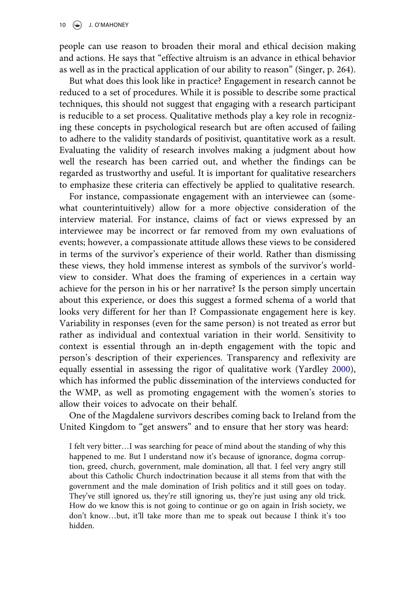people can use reason to broaden their moral and ethical decision making and actions. He says that "effective altruism is an advance in ethical behavior as well as in the practical application of our ability to reason" (Singer, p. 264).

But what does this look like in practice? Engagement in research cannot be reduced to a set of procedures. While it is possible to describe some practical techniques, this should not suggest that engaging with a research participant is reducible to a set process. Qualitative methods play a key role in recognizing these concepts in psychological research but are often accused of failing to adhere to the validity standards of positivist, quantitative work as a result. Evaluating the validity of research involves making a judgment about how well the research has been carried out, and whether the findings can be regarded as trustworthy and useful. It is important for qualitative researchers to emphasize these criteria can effectively be applied to qualitative research.

For instance, compassionate engagement with an interviewee can (somewhat counterintuitively) allow for a more objective consideration of the interview material. For instance, claims of fact or views expressed by an interviewee may be incorrect or far removed from my own evaluations of events; however, a compassionate attitude allows these views to be considered in terms of the survivor's experience of their world. Rather than dismissing these views, they hold immense interest as symbols of the survivor's worldview to consider. What does the framing of experiences in a certain way achieve for the person in his or her narrative? Is the person simply uncertain about this experience, or does this suggest a formed schema of a world that looks very different for her than I? Compassionate engagement here is key. Variability in responses (even for the same person) is not treated as error but rather as individual and contextual variation in their world. Sensitivity to context is essential through an in-depth engagement with the topic and person's description of their experiences. Transparency and reflexivity are equally essential in assessing the rigor of qualitative work (Yardley [2000](#page-16-7)), which has informed the public dissemination of the interviews conducted for the WMP, as well as promoting engagement with the women's stories to allow their voices to advocate on their behalf.

One of the Magdalene survivors describes coming back to Ireland from the United Kingdom to "get answers" and to ensure that her story was heard:

I felt very bitter…I was searching for peace of mind about the standing of why this happened to me. But I understand now it's because of ignorance, dogma corruption, greed, church, government, male domination, all that. I feel very angry still about this Catholic Church indoctrination because it all stems from that with the government and the male domination of Irish politics and it still goes on today. They've still ignored us, they're still ignoring us, they're just using any old trick. How do we know this is not going to continue or go on again in Irish society, we don't know…but, it'll take more than me to speak out because I think it's too hidden.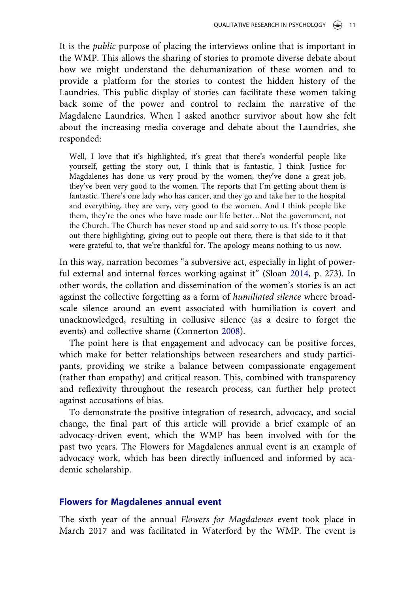It is the public purpose of placing the interviews online that is important in the WMP. This allows the sharing of stories to promote diverse debate about how we might understand the dehumanization of these women and to provide a platform for the stories to contest the hidden history of the Laundries. This public display of stories can facilitate these women taking back some of the power and control to reclaim the narrative of the Magdalene Laundries. When I asked another survivor about how she felt about the increasing media coverage and debate about the Laundries, she responded:

Well, I love that it's highlighted, it's great that there's wonderful people like yourself, getting the story out, I think that is fantastic, I think Justice for Magdalenes has done us very proud by the women, they've done a great job, they've been very good to the women. The reports that I'm getting about them is fantastic. There's one lady who has cancer, and they go and take her to the hospital and everything, they are very, very good to the women. And I think people like them, they're the ones who have made our life better…Not the government, not the Church. The Church has never stood up and said sorry to us. It's those people out there highlighting, giving out to people out there, there is that side to it that were grateful to, that we're thankful for. The apology means nothing to us now.

In this way, narration becomes "a subversive act, especially in light of power-ful external and internal forces working against it" (Sloan [2014,](#page-16-8) p. 273). In other words, the collation and dissemination of the women's stories is an act against the collective forgetting as a form of humiliated silence where broadscale silence around an event associated with humiliation is covert and unacknowledged, resulting in collusive silence (as a desire to forget the events) and collective shame (Connerton [2008](#page-15-14)).

The point here is that engagement and advocacy can be positive forces, which make for better relationships between researchers and study participants, providing we strike a balance between compassionate engagement (rather than empathy) and critical reason. This, combined with transparency and reflexivity throughout the research process, can further help protect against accusations of bias.

To demonstrate the positive integration of research, advocacy, and social change, the final part of this article will provide a brief example of an advocacy-driven event, which the WMP has been involved with for the past two years. The Flowers for Magdalenes annual event is an example of advocacy work, which has been directly influenced and informed by academic scholarship.

#### Flowers for Magdalenes annual event

The sixth year of the annual Flowers for Magdalenes event took place in March 2017 and was facilitated in Waterford by the WMP. The event is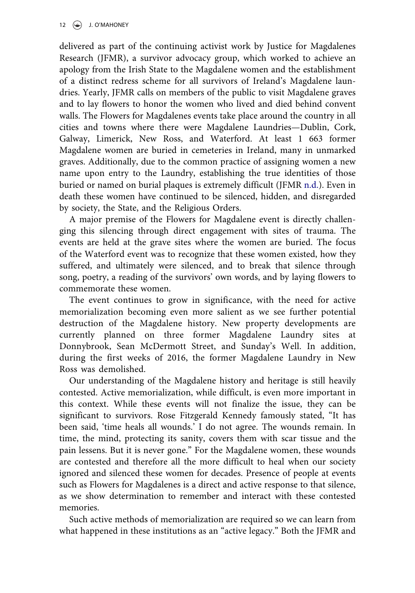delivered as part of the continuing activist work by Justice for Magdalenes Research (JFMR), a survivor advocacy group, which worked to achieve an apology from the Irish State to the Magdalene women and the establishment of a distinct redress scheme for all survivors of Ireland's Magdalene laundries. Yearly, JFMR calls on members of the public to visit Magdalene graves and to lay flowers to honor the women who lived and died behind convent walls. The Flowers for Magdalenes events take place around the country in all cities and towns where there were Magdalene Laundries—Dublin, Cork, Galway, Limerick, New Ross, and Waterford. At least 1 663 former Magdalene women are buried in cemeteries in Ireland, many in unmarked graves. Additionally, due to the common practice of assigning women a new name upon entry to the Laundry, establishing the true identities of those buried or named on burial plaques is extremely difficult (JFMR [n.d.\)](#page-15-20). Even in death these women have continued to be silenced, hidden, and disregarded by society, the State, and the Religious Orders.

A major premise of the Flowers for Magdalene event is directly challenging this silencing through direct engagement with sites of trauma. The events are held at the grave sites where the women are buried. The focus of the Waterford event was to recognize that these women existed, how they suffered, and ultimately were silenced, and to break that silence through song, poetry, a reading of the survivors' own words, and by laying flowers to commemorate these women.

The event continues to grow in significance, with the need for active memorialization becoming even more salient as we see further potential destruction of the Magdalene history. New property developments are currently planned on three former Magdalene Laundry sites at Donnybrook, Sean McDermott Street, and Sunday's Well. In addition, during the first weeks of 2016, the former Magdalene Laundry in New Ross was demolished.

Our understanding of the Magdalene history and heritage is still heavily contested. Active memorialization, while difficult, is even more important in this context. While these events will not finalize the issue, they can be significant to survivors. Rose Fitzgerald Kennedy famously stated, "It has been said, 'time heals all wounds.' I do not agree. The wounds remain. In time, the mind, protecting its sanity, covers them with scar tissue and the pain lessens. But it is never gone." For the Magdalene women, these wounds are contested and therefore all the more difficult to heal when our society ignored and silenced these women for decades. Presence of people at events such as Flowers for Magdalenes is a direct and active response to that silence, as we show determination to remember and interact with these contested memories.

Such active methods of memorialization are required so we can learn from what happened in these institutions as an "active legacy." Both the JFMR and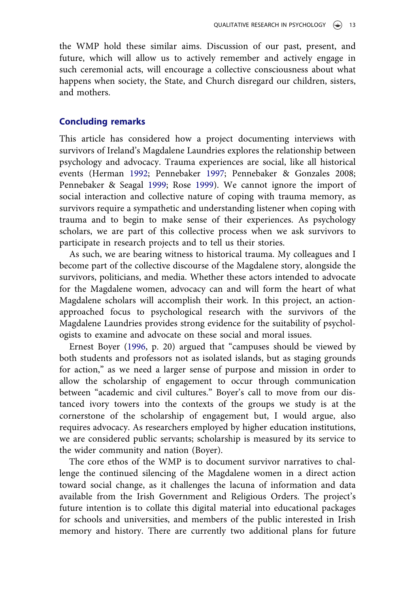the WMP hold these similar aims. Discussion of our past, present, and future, which will allow us to actively remember and actively engage in such ceremonial acts, will encourage a collective consciousness about what happens when society, the State, and Church disregard our children, sisters, and mothers.

#### Concluding remarks

This article has considered how a project documenting interviews with survivors of Ireland's Magdalene Laundries explores the relationship between psychology and advocacy. Trauma experiences are social, like all historical events (Herman [1992](#page-15-15); Pennebaker [1997](#page-15-16); Pennebaker & Gonzales 2008; Pennebaker & Seagal [1999;](#page-15-17) Rose [1999](#page-16-4)). We cannot ignore the import of social interaction and collective nature of coping with trauma memory, as survivors require a sympathetic and understanding listener when coping with trauma and to begin to make sense of their experiences. As psychology scholars, we are part of this collective process when we ask survivors to participate in research projects and to tell us their stories.

As such, we are bearing witness to historical trauma. My colleagues and I become part of the collective discourse of the Magdalene story, alongside the survivors, politicians, and media. Whether these actors intended to advocate for the Magdalene women, advocacy can and will form the heart of what Magdalene scholars will accomplish their work. In this project, an actionapproached focus to psychological research with the survivors of the Magdalene Laundries provides strong evidence for the suitability of psychologists to examine and advocate on these social and moral issues.

Ernest Boyer ([1996,](#page-14-4) p. 20) argued that "campuses should be viewed by both students and professors not as isolated islands, but as staging grounds for action," as we need a larger sense of purpose and mission in order to allow the scholarship of engagement to occur through communication between "academic and civil cultures." Boyer's call to move from our distanced ivory towers into the contexts of the groups we study is at the cornerstone of the scholarship of engagement but, I would argue, also requires advocacy. As researchers employed by higher education institutions, we are considered public servants; scholarship is measured by its service to the wider community and nation (Boyer).

The core ethos of the WMP is to document survivor narratives to challenge the continued silencing of the Magdalene women in a direct action toward social change, as it challenges the lacuna of information and data available from the Irish Government and Religious Orders. The project's future intention is to collate this digital material into educational packages for schools and universities, and members of the public interested in Irish memory and history. There are currently two additional plans for future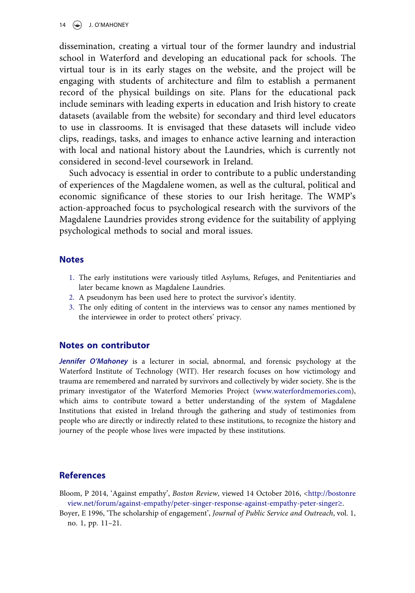dissemination, creating a virtual tour of the former laundry and industrial school in Waterford and developing an educational pack for schools. The virtual tour is in its early stages on the website, and the project will be engaging with students of architecture and film to establish a permanent record of the physical buildings on site. Plans for the educational pack include seminars with leading experts in education and Irish history to create datasets (available from the website) for secondary and third level educators to use in classrooms. It is envisaged that these datasets will include video clips, readings, tasks, and images to enhance active learning and interaction with local and national history about the Laundries, which is currently not considered in second-level coursework in Ireland.

Such advocacy is essential in order to contribute to a public understanding of experiences of the Magdalene women, as well as the cultural, political and economic significance of these stories to our Irish heritage. The WMP's action-approached focus to psychological research with the survivors of the Magdalene Laundries provides strong evidence for the suitability of applying psychological methods to social and moral issues.

### **Notes**

- <span id="page-14-0"></span>1. The early institutions were variously titled Asylums, Refuges, and Penitentiaries and later became known as Magdalene Laundries.
- <span id="page-14-1"></span>2. A pseudonym has been used here to protect the survivor's identity.
- <span id="page-14-2"></span>3. The only editing of content in the interviews was to censor any names mentioned by the interviewee in order to protect others' privacy.

### Notes on contributor

Jennifer O'Mahoney is a lecturer in social, abnormal, and forensic psychology at the Waterford Institute of Technology (WIT). Her research focuses on how victimology and trauma are remembered and narrated by survivors and collectively by wider society. She is the primary investigator of the Waterford Memories Project (www.waterfordmemories.com), which aims to contribute toward a better understanding of the system of Magdalene Institutions that existed in Ireland through the gathering and study of testimonies from people who are directly or indirectly related to these institutions, to recognize the history and journey of the people whose lives were impacted by these institutions.

### References

- <span id="page-14-3"></span>Bloom, P 2014, 'Against empathy', Boston Review, viewed 14 October 2016, [<http://bostonre](http://bostonreview.net/forum/against-empathy/peter-singer-response-against-empathy-peter-singer%2265) [view.net/forum/against-empathy/peter-singer-response-against-empathy-peter-singer](http://bostonreview.net/forum/against-empathy/peter-singer-response-against-empathy-peter-singer%2265)≥.
- <span id="page-14-4"></span>Boyer, E 1996, 'The scholarship of engagement', Journal of Public Service and Outreach, vol. 1, no. 1, pp. 11–21.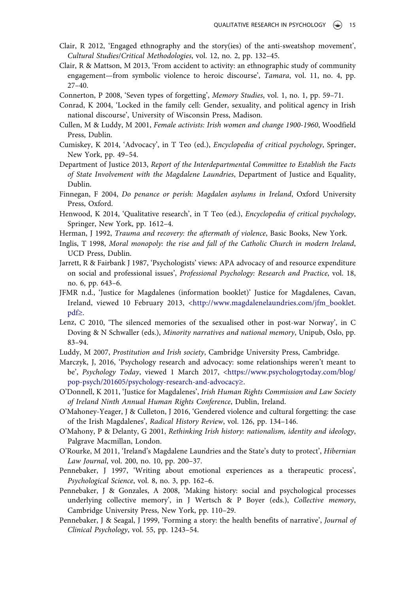- <span id="page-15-18"></span>Clair, R 2012, 'Engaged ethnography and the story(ies) of the anti-sweatshop movement', Cultural Studies/Critical Methodologies, vol. 12, no. 2, pp. 132–45.
- <span id="page-15-19"></span>Clair, R & Mattson, M 2013, 'From accident to activity: an ethnographic study of community engagement—from symbolic violence to heroic discourse', Tamara, vol. 11, no. 4, pp. 27–40.
- <span id="page-15-14"></span>Connerton, P 2008, 'Seven types of forgetting', Memory Studies, vol. 1, no. 1, pp. 59–71.
- <span id="page-15-2"></span>Conrad, K 2004, 'Locked in the family cell: Gender, sexuality, and political agency in Irish national discourse', University of Wisconsin Press, Madison.
- <span id="page-15-7"></span>Cullen, M & Luddy, M 2001, Female activists: Irish women and change 1900-1960, Woodfield Press, Dublin.
- <span id="page-15-10"></span>Cumiskey, K 2014, 'Advocacy', in T Teo (ed.), Encyclopedia of critical psychology, Springer, New York, pp. 49–54.
- <span id="page-15-3"></span>Department of Justice 2013, Report of the Interdepartmental Committee to Establish the Facts of State Involvement with the Magdalene Laundries, Department of Justice and Equality, Dublin.
- <span id="page-15-0"></span>Finnegan, F 2004, Do penance or perish: Magdalen asylums in Ireland, Oxford University Press, Oxford.
- Henwood, K 2014, 'Qualitative research', in T Teo (ed.), Encyclopedia of critical psychology, Springer, New York, pp. 1612–4.
- <span id="page-15-15"></span>Herman, J 1992, Trauma and recovery: the aftermath of violence, Basic Books, New York.
- <span id="page-15-8"></span>Inglis, T 1998, Moral monopoly: the rise and fall of the Catholic Church in modern Ireland, UCD Press, Dublin.
- <span id="page-15-11"></span>Jarrett, R & Fairbank J 1987, 'Psychologists' views: APA advocacy of and resource expenditure on social and professional issues', Professional Psychology: Research and Practice, vol. 18, no. 6, pp. 643–6.
- <span id="page-15-20"></span>JFMR n.d., 'Justice for Magdalenes (information booklet)' Justice for Magdalenes, Cavan, Ireland, viewed 10 February 2013, <[http://www.magdalenelaundries.com/jfm\\_booklet.](http://www.magdalenelaundries.com/jfm_booklet.pdf%2265) [pdf](http://www.magdalenelaundries.com/jfm_booklet.pdf%2265)≥.
- <span id="page-15-9"></span>Lenz, C 2010, 'The silenced memories of the sexualised other in post-war Norway', in C Doving & N Schwaller (eds.), Minority narratives and national memory, Unipub, Oslo, pp. 83–94.
- <span id="page-15-1"></span>Luddy, M 2007, Prostitution and Irish society, Cambridge University Press, Cambridge.
- <span id="page-15-12"></span>Marczyk, J, 2016, 'Psychology research and advocacy: some relationships weren't meant to be', Psychology Today, viewed 1 March 2017, [<https://www.psychologytoday.com/blog/](https://www.psychologytoday.com/blog/pop-psych/201605/psychology-research-and-advocacy%2265) [pop-psych/201605/psychology-research-and-advocacy](https://www.psychologytoday.com/blog/pop-psych/201605/psychology-research-and-advocacy%2265)≥.
- <span id="page-15-4"></span>O'Donnell, K 2011, 'Justice for Magdalenes', Irish Human Rights Commission and Law Society of Ireland Ninth Annual Human Rights Conference, Dublin, Ireland.
- <span id="page-15-13"></span>O'Mahoney-Yeager, J & Culleton, J 2016, 'Gendered violence and cultural forgetting: the case of the Irish Magdalenes', Radical History Review, vol. 126, pp. 134–146.
- <span id="page-15-6"></span>O'Mahony, P & Delanty, G 2001, Rethinking Irish history: nationalism, identity and ideology, Palgrave Macmillan, London.
- <span id="page-15-5"></span>O'Rourke, M 2011, 'Ireland's Magdalene Laundries and the State's duty to protect', Hibernian Law Journal, vol. 200, no. 10, pp. 200–37.
- <span id="page-15-16"></span>Pennebaker, J 1997, 'Writing about emotional experiences as a therapeutic process', Psychological Science, vol. 8, no. 3, pp. 162–6.
- Pennebaker, J & Gonzales, A 2008, 'Making history: social and psychological processes underlying collective memory', in J Wertsch & P Boyer (eds.), Collective memory, Cambridge University Press, New York, pp. 110–29.
- <span id="page-15-17"></span>Pennebaker, J & Seagal, J 1999, 'Forming a story: the health benefits of narrative', Journal of Clinical Psychology, vol. 55, pp. 1243–54.